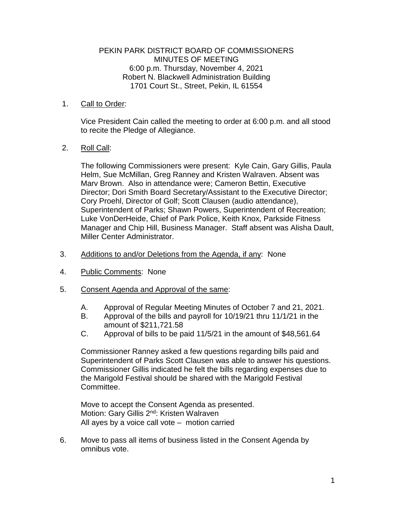# PEKIN PARK DISTRICT BOARD OF COMMISSIONERS MINUTES OF MEETING 6:00 p.m. Thursday, November 4, 2021 Robert N. Blackwell Administration Building 1701 Court St., Street, Pekin, IL 61554

# 1. Call to Order:

Vice President Cain called the meeting to order at 6:00 p.m. and all stood to recite the Pledge of Allegiance.

# 2. Roll Call:

The following Commissioners were present: Kyle Cain, Gary Gillis, Paula Helm, Sue McMillan, Greg Ranney and Kristen Walraven. Absent was Marv Brown. Also in attendance were; Cameron Bettin, Executive Director; Dori Smith Board Secretary/Assistant to the Executive Director; Cory Proehl, Director of Golf; Scott Clausen (audio attendance), Superintendent of Parks; Shawn Powers, Superintendent of Recreation; Luke VonDerHeide, Chief of Park Police, Keith Knox, Parkside Fitness Manager and Chip Hill, Business Manager. Staff absent was Alisha Dault, Miller Center Administrator.

### 3. Additions to and/or Deletions from the Agenda, if any: None

- 4. Public Comments: None
- 5. Consent Agenda and Approval of the same:
	- A. Approval of Regular Meeting Minutes of October 7 and 21, 2021.
	- B. Approval of the bills and payroll for 10/19/21 thru 11/1/21 in the amount of \$211,721.58
	- C. Approval of bills to be paid 11/5/21 in the amount of \$48,561.64

Commissioner Ranney asked a few questions regarding bills paid and Superintendent of Parks Scott Clausen was able to answer his questions. Commissioner Gillis indicated he felt the bills regarding expenses due to the Marigold Festival should be shared with the Marigold Festival Committee.

Move to accept the Consent Agenda as presented. Motion: Gary Gillis 2<sup>nd</sup>: Kristen Walraven All ayes by a voice call vote – motion carried

6. Move to pass all items of business listed in the Consent Agenda by omnibus vote.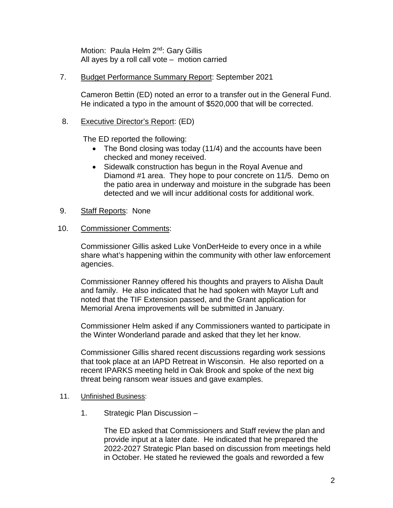Motion: Paula Helm 2<sup>nd</sup>: Gary Gillis All ayes by a roll call vote – motion carried

### 7. Budget Performance Summary Report: September 2021

Cameron Bettin (ED) noted an error to a transfer out in the General Fund. He indicated a typo in the amount of \$520,000 that will be corrected.

### 8. Executive Director's Report: (ED)

The ED reported the following:

- The Bond closing was today (11/4) and the accounts have been checked and money received.
- Sidewalk construction has begun in the Royal Avenue and Diamond #1 area. They hope to pour concrete on 11/5. Demo on the patio area in underway and moisture in the subgrade has been detected and we will incur additional costs for additional work.
- 9. Staff Reports: None

#### 10. Commissioner Comments:

Commissioner Gillis asked Luke VonDerHeide to every once in a while share what's happening within the community with other law enforcement agencies.

Commissioner Ranney offered his thoughts and prayers to Alisha Dault and family. He also indicated that he had spoken with Mayor Luft and noted that the TIF Extension passed, and the Grant application for Memorial Arena improvements will be submitted in January.

Commissioner Helm asked if any Commissioners wanted to participate in the Winter Wonderland parade and asked that they let her know.

Commissioner Gillis shared recent discussions regarding work sessions that took place at an IAPD Retreat in Wisconsin. He also reported on a recent IPARKS meeting held in Oak Brook and spoke of the next big threat being ransom wear issues and gave examples.

# 11. Unfinished Business:

1. Strategic Plan Discussion –

The ED asked that Commissioners and Staff review the plan and provide input at a later date. He indicated that he prepared the 2022-2027 Strategic Plan based on discussion from meetings held in October. He stated he reviewed the goals and reworded a few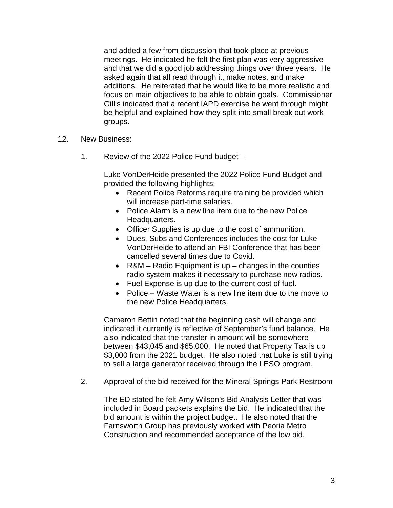and added a few from discussion that took place at previous meetings. He indicated he felt the first plan was very aggressive and that we did a good job addressing things over three years. He asked again that all read through it, make notes, and make additions. He reiterated that he would like to be more realistic and focus on main objectives to be able to obtain goals. Commissioner Gillis indicated that a recent IAPD exercise he went through might be helpful and explained how they split into small break out work groups.

- 12. New Business:
	- 1. Review of the 2022 Police Fund budget –

Luke VonDerHeide presented the 2022 Police Fund Budget and provided the following highlights:

- Recent Police Reforms require training be provided which will increase part-time salaries.
- Police Alarm is a new line item due to the new Police Headquarters.
- Officer Supplies is up due to the cost of ammunition.
- Dues, Subs and Conferences includes the cost for Luke VonDerHeide to attend an FBI Conference that has been cancelled several times due to Covid.
- R&M Radio Equipment is up changes in the counties radio system makes it necessary to purchase new radios.
- Fuel Expense is up due to the current cost of fuel.
- Police Waste Water is a new line item due to the move to the new Police Headquarters.

Cameron Bettin noted that the beginning cash will change and indicated it currently is reflective of September's fund balance. He also indicated that the transfer in amount will be somewhere between \$43,045 and \$65,000. He noted that Property Tax is up \$3,000 from the 2021 budget. He also noted that Luke is still trying to sell a large generator received through the LESO program.

2. Approval of the bid received for the Mineral Springs Park Restroom

The ED stated he felt Amy Wilson's Bid Analysis Letter that was included in Board packets explains the bid. He indicated that the bid amount is within the project budget. He also noted that the Farnsworth Group has previously worked with Peoria Metro Construction and recommended acceptance of the low bid.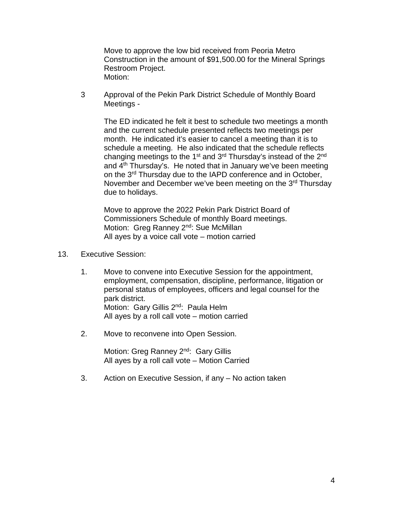Move to approve the low bid received from Peoria Metro Construction in the amount of \$91,500.00 for the Mineral Springs Restroom Project. Motion:

3 Approval of the Pekin Park District Schedule of Monthly Board Meetings -

The ED indicated he felt it best to schedule two meetings a month and the current schedule presented reflects two meetings per month. He indicated it's easier to cancel a meeting than it is to schedule a meeting. He also indicated that the schedule reflects changing meetings to the 1<sup>st</sup> and 3<sup>rd</sup> Thursday's instead of the 2<sup>nd</sup> and 4th Thursday's. He noted that in January we've been meeting on the 3<sup>rd</sup> Thursday due to the IAPD conference and in October, November and December we've been meeting on the 3<sup>rd</sup> Thursday due to holidays.

Move to approve the 2022 Pekin Park District Board of Commissioners Schedule of monthly Board meetings. Motion: Greg Ranney 2<sup>nd</sup>: Sue McMillan All ayes by a voice call vote – motion carried

- 13. Executive Session:
	- 1. Move to convene into Executive Session for the appointment, employment, compensation, discipline, performance, litigation or personal status of employees, officers and legal counsel for the park district. Motion: Gary Gillis 2<sup>nd</sup>: Paula Helm All ayes by a roll call vote – motion carried
	- 2. Move to reconvene into Open Session.

Motion: Greg Ranney 2<sup>nd</sup>: Gary Gillis All ayes by a roll call vote – Motion Carried

3. Action on Executive Session, if any – No action taken